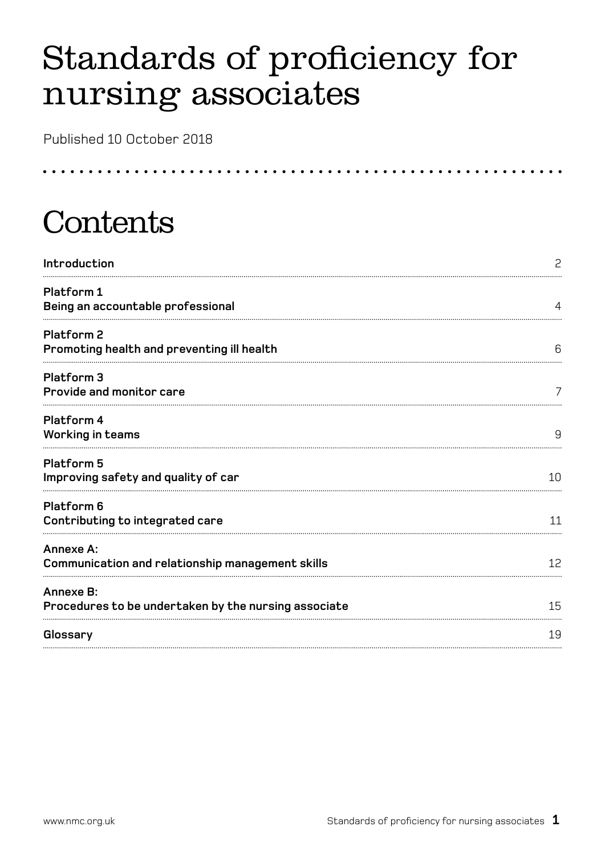# Standards of proficiency for nursing associates

Published 10 October 2018

# **Contents**

| Introduction                                                         | 2              |
|----------------------------------------------------------------------|----------------|
| Platform 1<br>Being an accountable professional                      | 4              |
| <b>Platform 2</b><br>Promoting health and preventing ill health      | 6              |
| <b>Platform 3</b><br><b>Provide and monitor care</b>                 | 7              |
| Platform 4<br><b>Working in teams</b>                                | 9              |
| <b>Platform 5</b><br>Improving safety and quality of car             | 10             |
| Platform 6<br>Contributing to integrated care                        | 11             |
| <b>Annexe A:</b><br>Communication and relationship management skills | 1 <sup>2</sup> |
| Annexe B:<br>Procedures to be undertaken by the nursing associate    | 15             |
| Glossary                                                             | 19             |

. . . . . . . . . . . . . . . .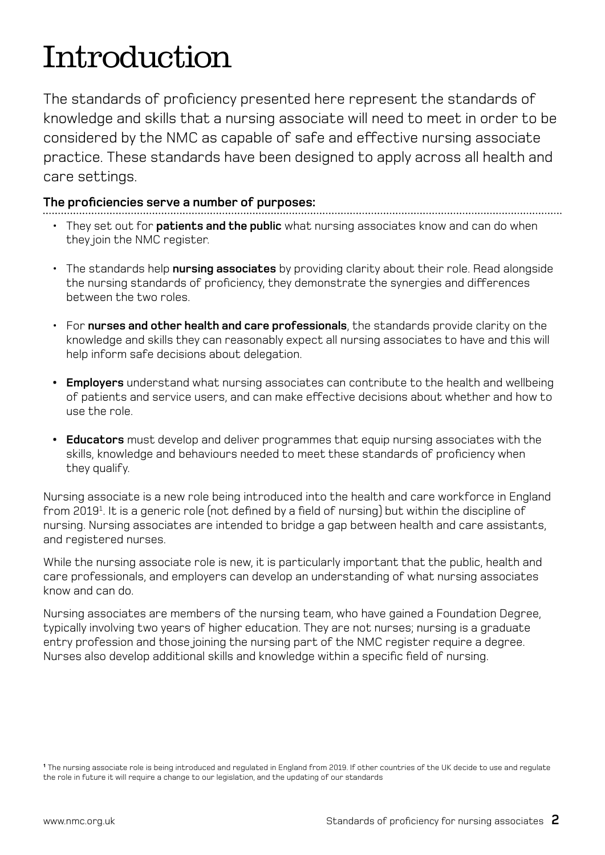# Introduction

The standards of proficiency presented here represent the standards of knowledge and skills that a nursing associate will need to meet in order to be considered by the NMC as capable of safe and effective nursing associate practice. These standards have been designed to apply across all health and care settings.

### **The proficiencies serve a number of purposes:**

- They set out for **patients and the public** what nursing associates know and can do when they join the NMC register.
- The standards help **nursing associates** by providing clarity about their role. Read alongside the nursing standards of proficiency, they demonstrate the synergies and differences between the two roles.
- For **nurses and other health and care professionals**, the standards provide clarity on the knowledge and skills they can reasonably expect all nursing associates to have and this will help inform safe decisions about delegation.
- **• Employers** understand what nursing associates can contribute to the health and wellbeing of patients and service users, and can make effective decisions about whether and how to use the role.
- **• Educators** must develop and deliver programmes that equip nursing associates with the skills, knowledge and behaviours needed to meet these standards of proficiency when they qualify.

Nursing associate is a new role being introduced into the health and care workforce in England from 2019 $^{\rm 1}$ . It is a generic role (not defined by a field of nursing) but within the discipline of nursing. Nursing associates are intended to bridge a gap between health and care assistants, and registered nurses.

While the nursing associate role is new, it is particularly important that the public, health and care professionals, and employers can develop an understanding of what nursing associates know and can do.

Nursing associates are members of the nursing team, who have gained a Foundation Degree, typically involving two years of higher education. They are not nurses; nursing is a graduate entry profession and those joining the nursing part of the NMC register require a degree. Nurses also develop additional skills and knowledge within a specific field of nursing.

**<sup>1</sup>** The nursing associate role is being introduced and regulated in England from 2019. If other countries of the UK decide to use and regulate the role in future it will require a change to our legislation, and the updating of our standards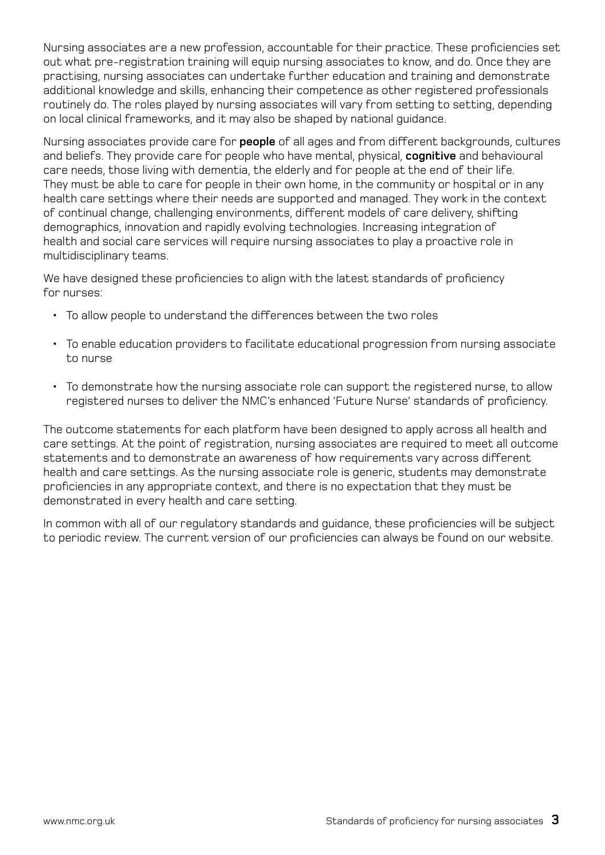Nursing associates are a new profession, accountable for their practice. These proficiencies set out what pre-registration training will equip nursing associates to know, and do. Once they are practising, nursing associates can undertake further education and training and demonstrate additional knowledge and skills, enhancing their competence as other registered professionals routinely do. The roles played by nursing associates will vary from setting to setting, depending on local clinical frameworks, and it may also be shaped by national guidance.

Nursing associates provide care for **people** of all ages and from different backgrounds, cultures and beliefs. They provide care for people who have mental, physical, **cognitive** and behavioural care needs, those living with dementia, the elderly and for people at the end of their life. They must be able to care for people in their own home, in the community or hospital or in any health care settings where their needs are supported and managed. They work in the context of continual change, challenging environments, different models of care delivery, shifting demographics, innovation and rapidly evolving technologies. Increasing integration of health and social care services will require nursing associates to play a proactive role in multidisciplinary teams.

We have designed these proficiencies to align with the latest standards of proficiency for nurses:

- To allow people to understand the differences between the two roles
- To enable education providers to facilitate educational progression from nursing associate to nurse
- To demonstrate how the nursing associate role can support the registered nurse, to allow registered nurses to deliver the NMC's enhanced 'Future Nurse' standards of proficiency.

The outcome statements for each platform have been designed to apply across all health and care settings. At the point of registration, nursing associates are required to meet all outcome statements and to demonstrate an awareness of how requirements vary across different health and care settings. As the nursing associate role is generic, students may demonstrate proficiencies in any appropriate context, and there is no expectation that they must be demonstrated in every health and care setting.

In common with all of our regulatory standards and guidance, these proficiencies will be subject to periodic review. The current version of our proficiencies can always be found on our website.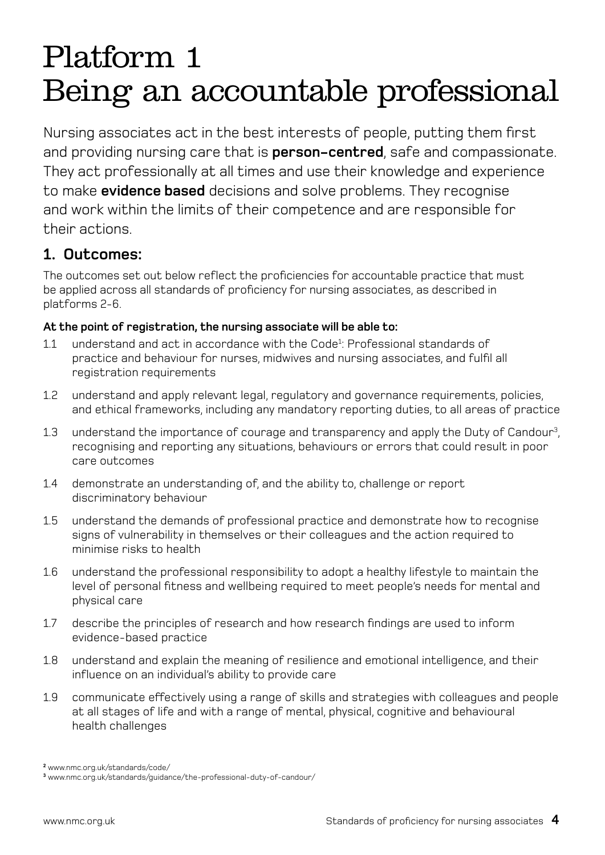# Platform 1 Being an accountable professional

Nursing associates act in the best interests of people, putting them first and providing nursing care that is **person-centred**, safe and compassionate. They act professionally at all times and use their knowledge and experience to make **evidence based** decisions and solve problems. They recognise and work within the limits of their competence and are responsible for their actions.

## **1. Outcomes:**

The outcomes set out below reflect the proficiencies for accountable practice that must be applied across all standards of proficiency for nursing associates, as described in platforms 2-6.

- 1.1 understand and act in accordance with the Code<sup>1</sup>: Professional standards of practice and behaviour for nurses, midwives and nursing associates, and fulfil all registration requirements
- 1.2 understand and apply relevant legal, regulatory and governance requirements, policies, and ethical frameworks, including any mandatory reporting duties, to all areas of practice
- 1.3 understand the importance of courage and transparency and apply the Duty of Candour<sup>3</sup>, recognising and reporting any situations, behaviours or errors that could result in poor care outcomes
- 1.4 demonstrate an understanding of, and the ability to, challenge or report discriminatory behaviour
- 1.5 understand the demands of professional practice and demonstrate how to recognise signs of vulnerability in themselves or their colleagues and the action required to minimise risks to health
- 1.6 understand the professional responsibility to adopt a healthy lifestyle to maintain the level of personal fitness and wellbeing required to meet people's needs for mental and physical care
- 1.7 describe the principles of research and how research findings are used to inform evidence-based practice
- 1.8 understand and explain the meaning of resilience and emotional intelligence, and their influence on an individual's ability to provide care
- 1.9 communicate effectively using a range of skills and strategies with colleagues and people at all stages of life and with a range of mental, physical, cognitive and behavioural health challenges

**<sup>2</sup>** www.nmc.org.uk/standards/code/

**<sup>3</sup>** www.nmc.org.uk/standards/guidance/the-professional-duty-of-candour/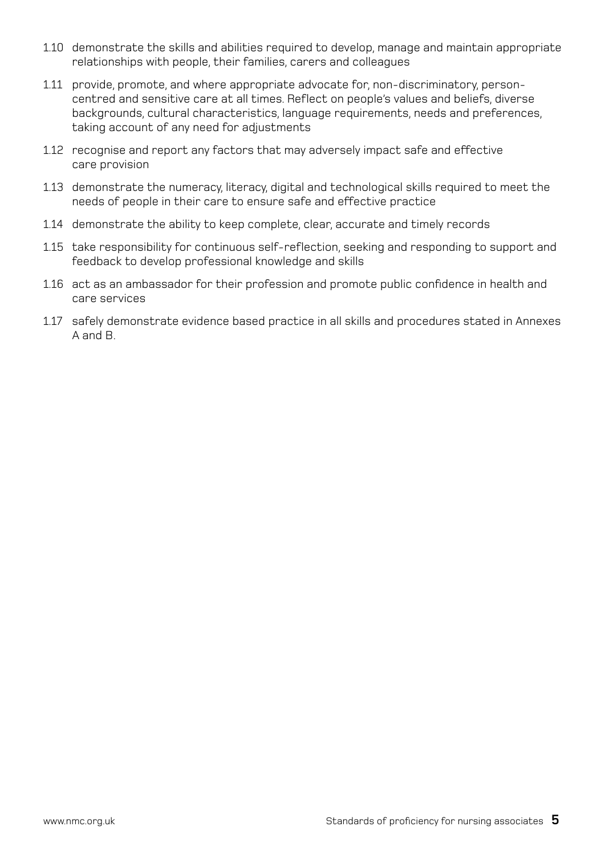- 1.10 demonstrate the skills and abilities required to develop, manage and maintain appropriate relationships with people, their families, carers and colleagues
- 1.11 provide, promote, and where appropriate advocate for, non-discriminatory, personcentred and sensitive care at all times. Reflect on people's values and beliefs, diverse backgrounds, cultural characteristics, language requirements, needs and preferences, taking account of any need for adjustments
- 1.12 recognise and report any factors that may adversely impact safe and effective care provision
- 1.13 demonstrate the numeracy, literacy, digital and technological skills required to meet the needs of people in their care to ensure safe and effective practice
- 1.14 demonstrate the ability to keep complete, clear, accurate and timely records
- 1.15 take responsibility for continuous self-reflection, seeking and responding to support and feedback to develop professional knowledge and skills
- 1.16 act as an ambassador for their profession and promote public confidence in health and care services
- 1.17 safely demonstrate evidence based practice in all skills and procedures stated in Annexes A and B.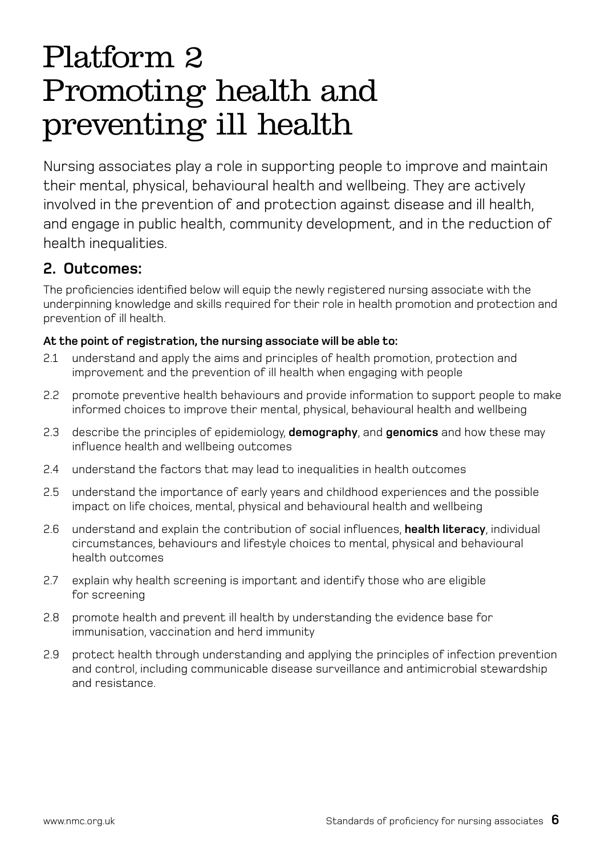# Platform 2 Promoting health and preventing ill health

Nursing associates play a role in supporting people to improve and maintain their mental, physical, behavioural health and wellbeing. They are actively involved in the prevention of and protection against disease and ill health, and engage in public health, community development, and in the reduction of health inequalities.

## **2. Outcomes:**

The proficiencies identified below will equip the newly registered nursing associate with the underpinning knowledge and skills required for their role in health promotion and protection and prevention of ill health.

- 2.1 understand and apply the aims and principles of health promotion, protection and improvement and the prevention of ill health when engaging with people
- 2.2 promote preventive health behaviours and provide information to support people to make informed choices to improve their mental, physical, behavioural health and wellbeing
- 2.3 describe the principles of epidemiology, **demography**, and **genomics** and how these may influence health and wellbeing outcomes
- 2.4 understand the factors that may lead to inequalities in health outcomes
- 2.5 understand the importance of early years and childhood experiences and the possible impact on life choices, mental, physical and behavioural health and wellbeing
- 2.6 understand and explain the contribution of social influences, **health literacy**, individual circumstances, behaviours and lifestyle choices to mental, physical and behavioural health outcomes
- 2.7 explain why health screening is important and identify those who are eligible for screening
- 2.8 promote health and prevent ill health by understanding the evidence base for immunisation, vaccination and herd immunity
- 2.9 protect health through understanding and applying the principles of infection prevention and control, including communicable disease surveillance and antimicrobial stewardship and resistance.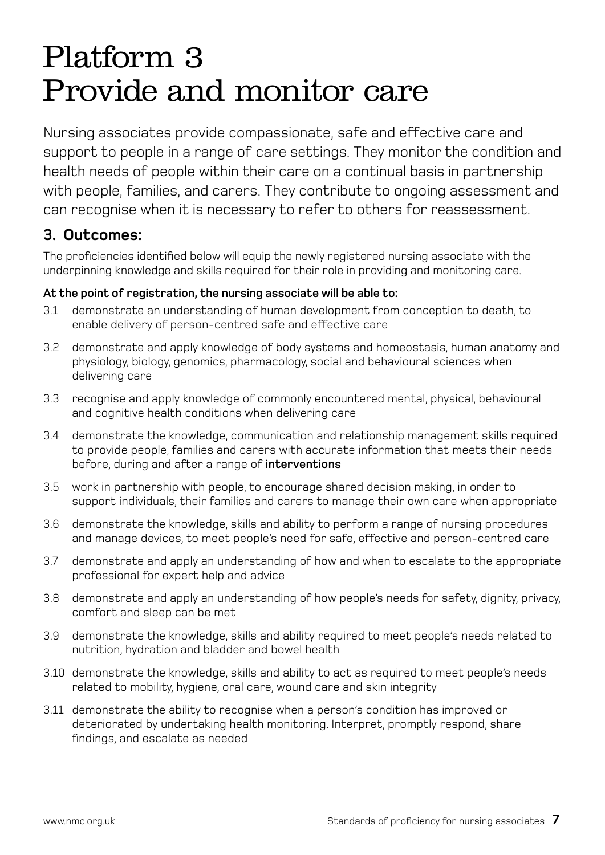# Platform 3 Provide and monitor care

Nursing associates provide compassionate, safe and effective care and support to people in a range of care settings. They monitor the condition and health needs of people within their care on a continual basis in partnership with people, families, and carers. They contribute to ongoing assessment and can recognise when it is necessary to refer to others for reassessment.

## **3. Outcomes:**

The proficiencies identified below will equip the newly registered nursing associate with the underpinning knowledge and skills required for their role in providing and monitoring care.

- 3.1 demonstrate an understanding of human development from conception to death, to enable delivery of person-centred safe and effective care
- 3.2 demonstrate and apply knowledge of body systems and homeostasis, human anatomy and physiology, biology, genomics, pharmacology, social and behavioural sciences when delivering care
- 3.3 recognise and apply knowledge of commonly encountered mental, physical, behavioural and cognitive health conditions when delivering care
- 3.4 demonstrate the knowledge, communication and relationship management skills required to provide people, families and carers with accurate information that meets their needs before, during and after a range of **interventions**
- 3.5 work in partnership with people, to encourage shared decision making, in order to support individuals, their families and carers to manage their own care when appropriate
- 3.6 demonstrate the knowledge, skills and ability to perform a range of nursing procedures and manage devices, to meet people's need for safe, effective and person-centred care
- 3.7 demonstrate and apply an understanding of how and when to escalate to the appropriate professional for expert help and advice
- 3.8 demonstrate and apply an understanding of how people's needs for safety, dignity, privacy, comfort and sleep can be met
- 3.9 demonstrate the knowledge, skills and ability required to meet people's needs related to nutrition, hydration and bladder and bowel health
- 3.10 demonstrate the knowledge, skills and ability to act as required to meet people's needs related to mobility, hygiene, oral care, wound care and skin integrity
- 3.11 demonstrate the ability to recognise when a person's condition has improved or deteriorated by undertaking health monitoring. Interpret, promptly respond, share findings, and escalate as needed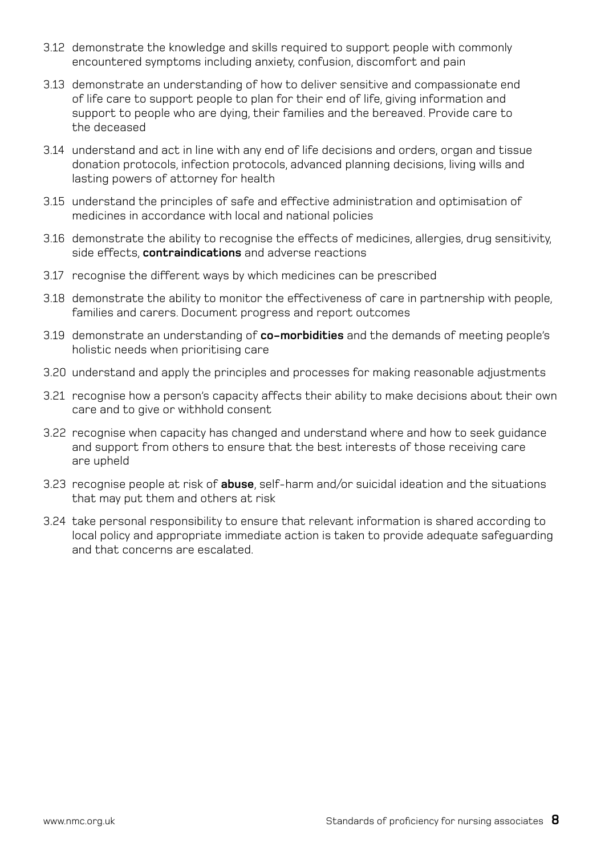- 3.12 demonstrate the knowledge and skills required to support people with commonly encountered symptoms including anxiety, confusion, discomfort and pain
- 3.13 demonstrate an understanding of how to deliver sensitive and compassionate end of life care to support people to plan for their end of life, giving information and support to people who are dying, their families and the bereaved. Provide care to the deceased
- 3.14 understand and act in line with any end of life decisions and orders, organ and tissue donation protocols, infection protocols, advanced planning decisions, living wills and lasting powers of attorney for health
- 3.15 understand the principles of safe and effective administration and optimisation of medicines in accordance with local and national policies
- 3.16 demonstrate the ability to recognise the effects of medicines, allergies, drug sensitivity, side effects, **contraindications** and adverse reactions
- 3.17 recognise the different ways by which medicines can be prescribed
- 3.18 demonstrate the ability to monitor the effectiveness of care in partnership with people, families and carers. Document progress and report outcomes
- 3.19 demonstrate an understanding of **co-morbidities** and the demands of meeting people's holistic needs when prioritising care
- 3.20 understand and apply the principles and processes for making reasonable adjustments
- 3.21 recognise how a person's capacity affects their ability to make decisions about their own care and to give or withhold consent
- 3.22 recognise when capacity has changed and understand where and how to seek guidance and support from others to ensure that the best interests of those receiving care are upheld
- 3.23 recognise people at risk of **abuse**, self-harm and/or suicidal ideation and the situations that may put them and others at risk
- 3.24 take personal responsibility to ensure that relevant information is shared according to local policy and appropriate immediate action is taken to provide adequate safeguarding and that concerns are escalated.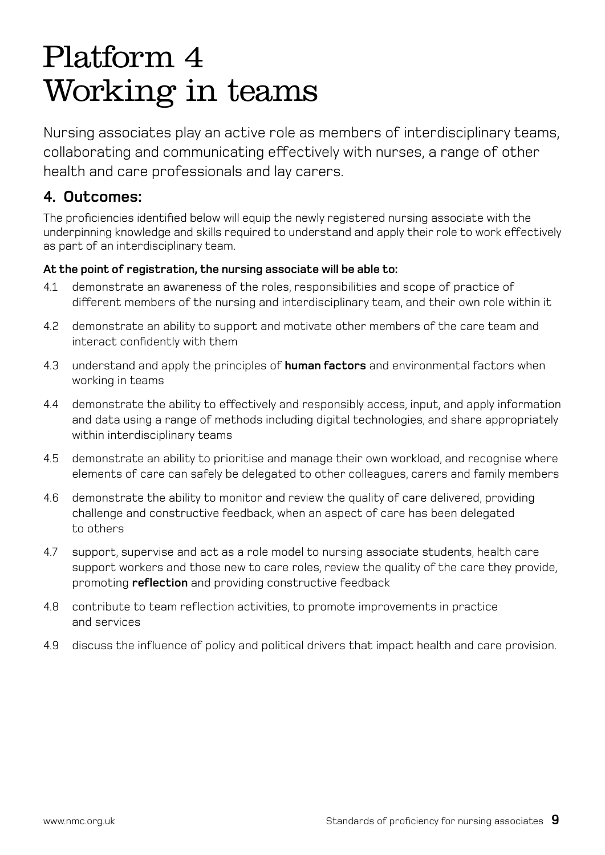# Platform 4 Working in teams

Nursing associates play an active role as members of interdisciplinary teams, collaborating and communicating effectively with nurses, a range of other health and care professionals and lay carers.

## **4. Outcomes:**

The proficiencies identified below will equip the newly registered nursing associate with the underpinning knowledge and skills required to understand and apply their role to work effectively as part of an interdisciplinary team.

- 4.1 demonstrate an awareness of the roles, responsibilities and scope of practice of different members of the nursing and interdisciplinary team, and their own role within it
- 4.2 demonstrate an ability to support and motivate other members of the care team and interact confidently with them
- 4.3 understand and apply the principles of **human factors** and environmental factors when working in teams
- 4.4 demonstrate the ability to effectively and responsibly access, input, and apply information and data using a range of methods including digital technologies, and share appropriately within interdisciplinary teams
- 4.5 demonstrate an ability to prioritise and manage their own workload, and recognise where elements of care can safely be delegated to other colleagues, carers and family members
- 4.6 demonstrate the ability to monitor and review the quality of care delivered, providing challenge and constructive feedback, when an aspect of care has been delegated to others
- 4.7 support, supervise and act as a role model to nursing associate students, health care support workers and those new to care roles, review the quality of the care they provide, promoting **reflection** and providing constructive feedback
- 4.8 contribute to team reflection activities, to promote improvements in practice and services
- 4.9 discuss the influence of policy and political drivers that impact health and care provision.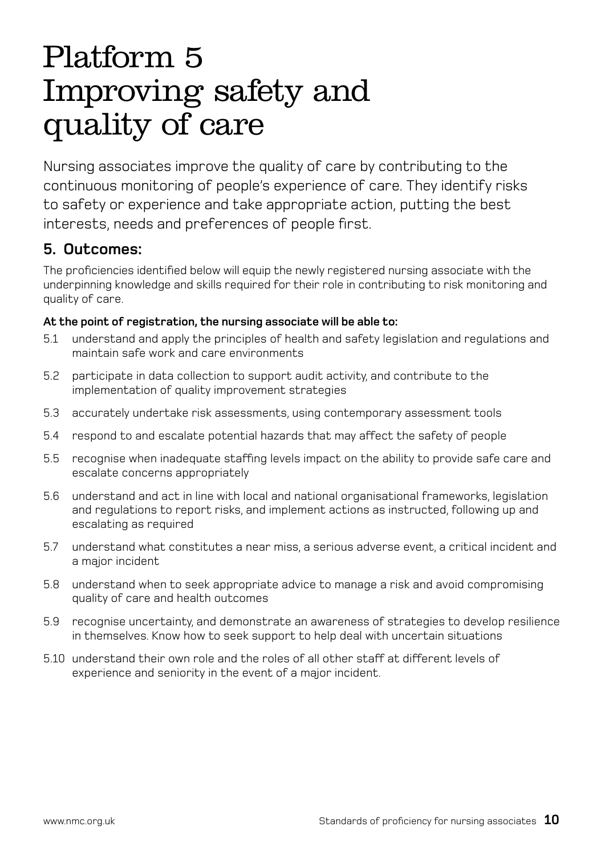# Platform 5 Improving safety and quality of care

Nursing associates improve the quality of care by contributing to the continuous monitoring of people's experience of care. They identify risks to safety or experience and take appropriate action, putting the best interests, needs and preferences of people first.

## **5. Outcomes:**

The proficiencies identified below will equip the newly registered nursing associate with the underpinning knowledge and skills required for their role in contributing to risk monitoring and quality of care.

- 5.1 understand and apply the principles of health and safety legislation and regulations and maintain safe work and care environments
- 5.2 participate in data collection to support audit activity, and contribute to the implementation of quality improvement strategies
- 5.3 accurately undertake risk assessments, using contemporary assessment tools
- 5.4 respond to and escalate potential hazards that may affect the safety of people
- 5.5 recognise when inadequate staffing levels impact on the ability to provide safe care and escalate concerns appropriately
- 5.6 understand and act in line with local and national organisational frameworks, legislation and regulations to report risks, and implement actions as instructed, following up and escalating as required
- 5.7 understand what constitutes a near miss, a serious adverse event, a critical incident and a major incident
- 5.8 understand when to seek appropriate advice to manage a risk and avoid compromising quality of care and health outcomes
- 5.9 recognise uncertainty, and demonstrate an awareness of strategies to develop resilience in themselves. Know how to seek support to help deal with uncertain situations
- 5.10 understand their own role and the roles of all other staff at different levels of experience and seniority in the event of a major incident.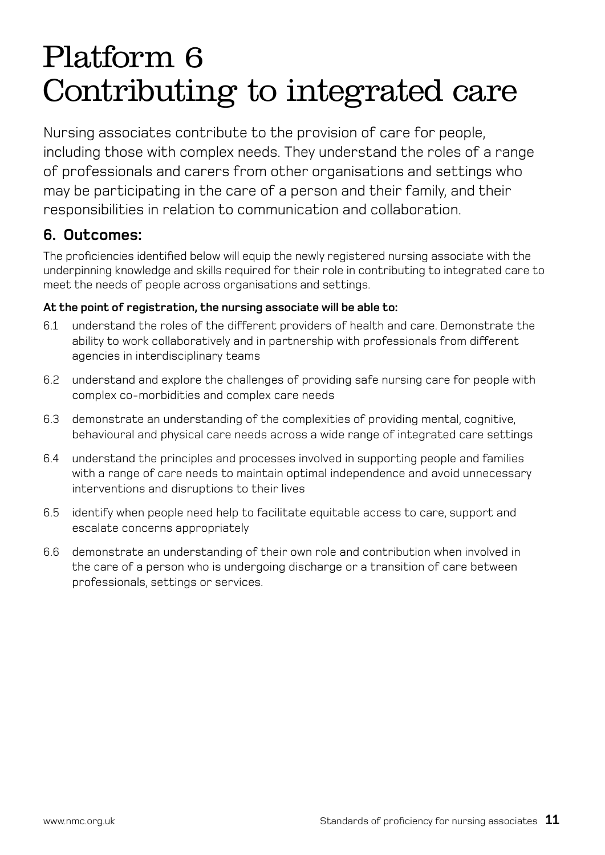# Platform 6 Contributing to integrated care

Nursing associates contribute to the provision of care for people, including those with complex needs. They understand the roles of a range of professionals and carers from other organisations and settings who may be participating in the care of a person and their family, and their responsibilities in relation to communication and collaboration.

## **6. Outcomes:**

The proficiencies identified below will equip the newly registered nursing associate with the underpinning knowledge and skills required for their role in contributing to integrated care to meet the needs of people across organisations and settings.

- 6.1 understand the roles of the different providers of health and care. Demonstrate the ability to work collaboratively and in partnership with professionals from different agencies in interdisciplinary teams
- 6.2 understand and explore the challenges of providing safe nursing care for people with complex co-morbidities and complex care needs
- 6.3 demonstrate an understanding of the complexities of providing mental, cognitive, behavioural and physical care needs across a wide range of integrated care settings
- 6.4 understand the principles and processes involved in supporting people and families with a range of care needs to maintain optimal independence and avoid unnecessary interventions and disruptions to their lives
- 6.5 identify when people need help to facilitate equitable access to care, support and escalate concerns appropriately
- 6.6 demonstrate an understanding of their own role and contribution when involved in the care of a person who is undergoing discharge or a transition of care between professionals, settings or services.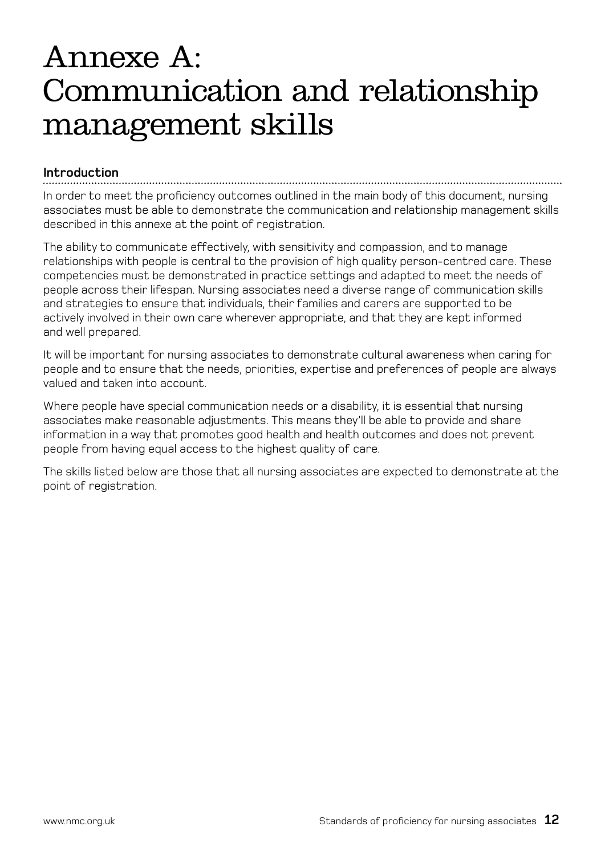# Annexe A: Communication and relationship management skills

### **Introduction**

In order to meet the proficiency outcomes outlined in the main body of this document, nursing associates must be able to demonstrate the communication and relationship management skills described in this annexe at the point of registration.

The ability to communicate effectively, with sensitivity and compassion, and to manage relationships with people is central to the provision of high quality person-centred care. These competencies must be demonstrated in practice settings and adapted to meet the needs of people across their lifespan. Nursing associates need a diverse range of communication skills and strategies to ensure that individuals, their families and carers are supported to be actively involved in their own care wherever appropriate, and that they are kept informed and well prepared.

It will be important for nursing associates to demonstrate cultural awareness when caring for people and to ensure that the needs, priorities, expertise and preferences of people are always valued and taken into account.

Where people have special communication needs or a disability, it is essential that nursing associates make reasonable adjustments. This means they'll be able to provide and share information in a way that promotes good health and health outcomes and does not prevent people from having equal access to the highest quality of care.

The skills listed below are those that all nursing associates are expected to demonstrate at the point of registration.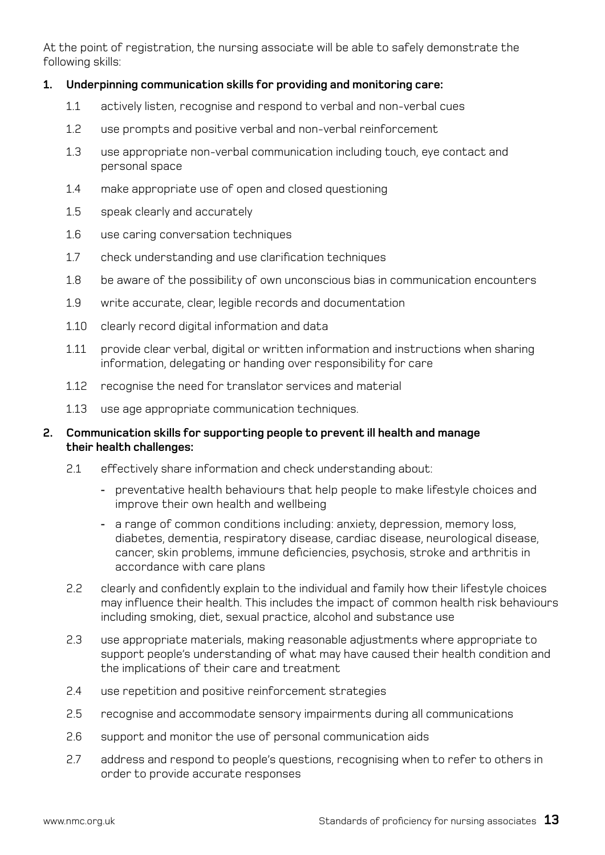At the point of registration, the nursing associate will be able to safely demonstrate the following skills:

#### **1. Underpinning communication skills for providing and monitoring care:**

- 1.1 actively listen, recognise and respond to verbal and non-verbal cues
- 1.2 use prompts and positive verbal and non-verbal reinforcement
- 1.3 use appropriate non-verbal communication including touch, eye contact and personal space
- 1.4 make appropriate use of open and closed questioning
- 1.5 speak clearly and accurately
- 1.6 use caring conversation techniques
- 1.7 check understanding and use clarification techniques
- 1.8 be aware of the possibility of own unconscious bias in communication encounters
- 1.9 write accurate, clear, legible records and documentation
- 1.10 clearly record digital information and data
- 1.11 provide clear verbal, digital or written information and instructions when sharing information, delegating or handing over responsibility for care
- 1.12 recognise the need for translator services and material
- 1.13 use age appropriate communication techniques.

#### **2. Communication skills for supporting people to prevent ill health and manage their health challenges:**

- 2.1 effectively share information and check understanding about:
	- preventative health behaviours that help people to make lifestyle choices and improve their own health and wellbeing
	- a range of common conditions including: anxiety, depression, memory loss, diabetes, dementia, respiratory disease, cardiac disease, neurological disease, cancer, skin problems, immune deficiencies, psychosis, stroke and arthritis in accordance with care plans
- 2.2 clearly and confidently explain to the individual and family how their lifestyle choices may influence their health. This includes the impact of common health risk behaviours including smoking, diet, sexual practice, alcohol and substance use
- 2.3 use appropriate materials, making reasonable adjustments where appropriate to support people's understanding of what may have caused their health condition and the implications of their care and treatment
- 2.4 use repetition and positive reinforcement strategies
- 2.5 recognise and accommodate sensory impairments during all communications
- 2.6 support and monitor the use of personal communication aids
- 2.7 address and respond to people's questions, recognising when to refer to others in order to provide accurate responses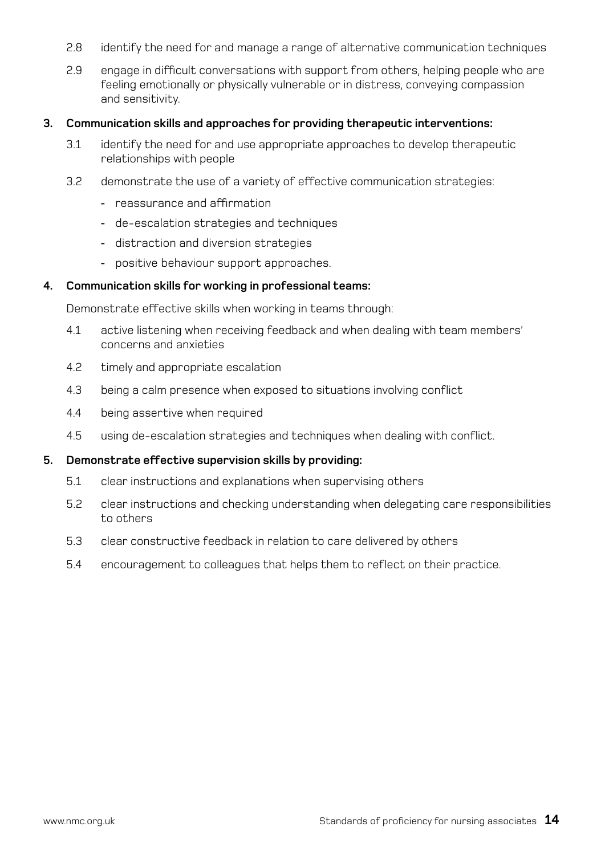- 2.8 identify the need for and manage a range of alternative communication techniques
- 2.9 engage in difficult conversations with support from others, helping people who are feeling emotionally or physically vulnerable or in distress, conveying compassion and sensitivity.
- **3. Communication skills and approaches for providing therapeutic interventions:**
	- 3.1 identify the need for and use appropriate approaches to develop therapeutic relationships with people
	- 3.2 demonstrate the use of a variety of effective communication strategies:
		- reassurance and affirmation
		- de-escalation strategies and techniques
		- distraction and diversion strategies
		- positive behaviour support approaches.

#### **4. Communication skills for working in professional teams:**

Demonstrate effective skills when working in teams through:

- 4.1 active listening when receiving feedback and when dealing with team members' concerns and anxieties
- 4.2 timely and appropriate escalation
- 4.3 being a calm presence when exposed to situations involving conflict
- 4.4 being assertive when required
- 4.5 using de-escalation strategies and techniques when dealing with conflict.

#### **5. Demonstrate effective supervision skills by providing:**

- 5.1 clear instructions and explanations when supervising others
- 5.2 clear instructions and checking understanding when delegating care responsibilities to others
- 5.3 clear constructive feedback in relation to care delivered by others
- 5.4 encouragement to colleagues that helps them to reflect on their practice.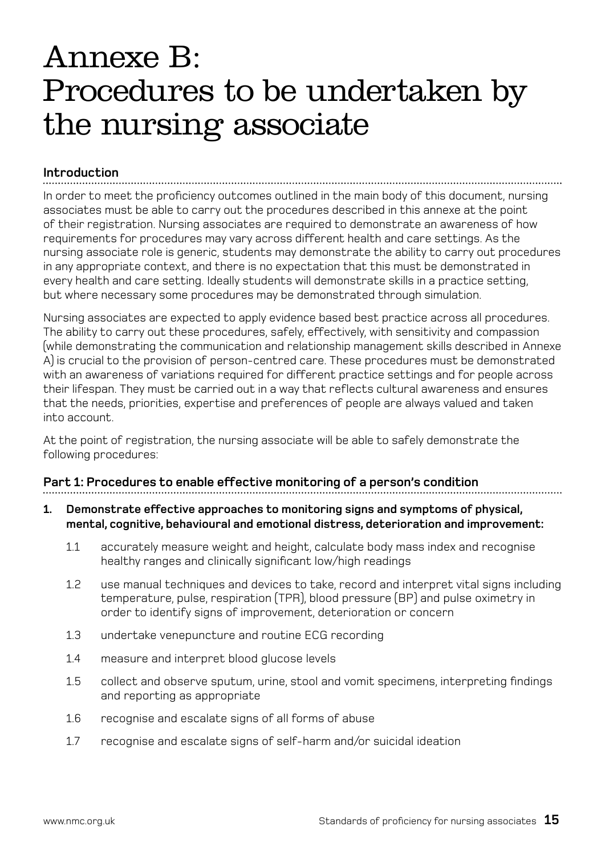# Annexe B: Procedures to be undertaken by the nursing associate

### **Introduction**

In order to meet the proficiency outcomes outlined in the main body of this document, nursing associates must be able to carry out the procedures described in this annexe at the point of their registration. Nursing associates are required to demonstrate an awareness of how requirements for procedures may vary across different health and care settings. As the nursing associate role is generic, students may demonstrate the ability to carry out procedures in any appropriate context, and there is no expectation that this must be demonstrated in every health and care setting. Ideally students will demonstrate skills in a practice setting, but where necessary some procedures may be demonstrated through simulation.

Nursing associates are expected to apply evidence based best practice across all procedures. The ability to carry out these procedures, safely, effectively, with sensitivity and compassion (while demonstrating the communication and relationship management skills described in Annexe A) is crucial to the provision of person-centred care. These procedures must be demonstrated with an awareness of variations required for different practice settings and for people across their lifespan. They must be carried out in a way that reflects cultural awareness and ensures that the needs, priorities, expertise and preferences of people are always valued and taken into account.

At the point of registration, the nursing associate will be able to safely demonstrate the following procedures:

### **Part 1: Procedures to enable effective monitoring of a person's condition**

- **1. Demonstrate effective approaches to monitoring signs and symptoms of physical, mental, cognitive, behavioural and emotional distress, deterioration and improvement:**
	- 1.1 accurately measure weight and height, calculate body mass index and recognise healthy ranges and clinically significant low/high readings
	- 1.2 use manual techniques and devices to take, record and interpret vital signs including temperature, pulse, respiration (TPR), blood pressure (BP) and pulse oximetry in order to identify signs of improvement, deterioration or concern
	- 1.3 undertake venepuncture and routine ECG recording
	- 1.4 measure and interpret blood glucose levels
	- 1.5 collect and observe sputum, urine, stool and vomit specimens, interpreting findings and reporting as appropriate
	- 1.6 recognise and escalate signs of all forms of abuse
	- 1.7 recognise and escalate signs of self-harm and/or suicidal ideation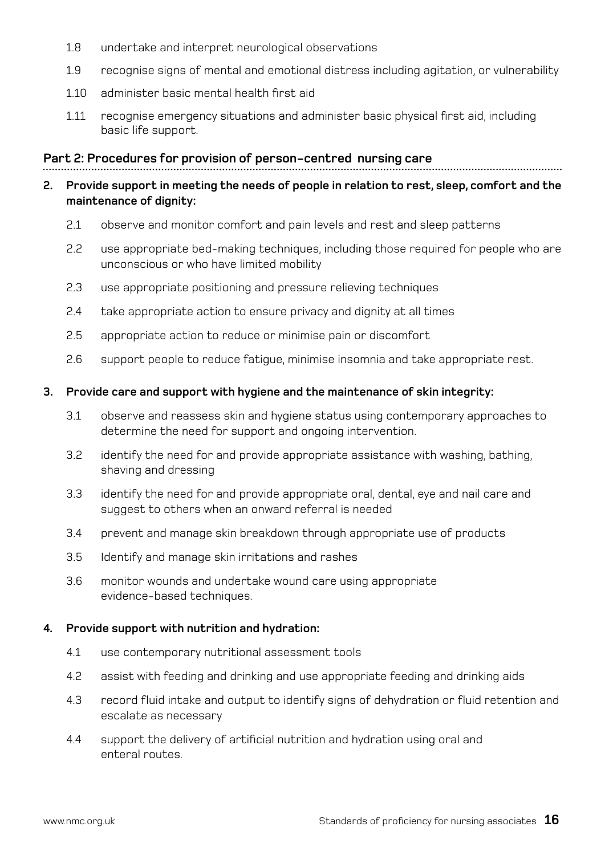- 1.8 undertake and interpret neurological observations
- 1.9 recognise signs of mental and emotional distress including agitation, or vulnerability
- 1.10 administer basic mental health first aid
- 1.11 recognise emergency situations and administer basic physical first aid, including basic life support.

#### **Part 2: Procedures for provision of person-centred nursing care**

### **2. Provide support in meeting the needs of people in relation to rest, sleep, comfort and the maintenance of dignity:**

- 2.1 observe and monitor comfort and pain levels and rest and sleep patterns
- 2.2 use appropriate bed-making techniques, including those required for people who are unconscious or who have limited mobility
- 2.3 use appropriate positioning and pressure relieving techniques
- 2.4 take appropriate action to ensure privacy and dignity at all times
- 2.5 appropriate action to reduce or minimise pain or discomfort
- 2.6 support people to reduce fatigue, minimise insomnia and take appropriate rest.

#### **3. Provide care and support with hygiene and the maintenance of skin integrity:**

- 3.1 observe and reassess skin and hygiene status using contemporary approaches to determine the need for support and ongoing intervention.
- 3.2 identify the need for and provide appropriate assistance with washing, bathing, shaving and dressing
- 3.3 identify the need for and provide appropriate oral, dental, eye and nail care and suggest to others when an onward referral is needed
- 3.4 prevent and manage skin breakdown through appropriate use of products
- 3.5 Identify and manage skin irritations and rashes
- 3.6 monitor wounds and undertake wound care using appropriate evidence-based techniques.

#### **4. Provide support with nutrition and hydration:**

- 4.1 use contemporary nutritional assessment tools
- 4.2 assist with feeding and drinking and use appropriate feeding and drinking aids
- 4.3 record fluid intake and output to identify signs of dehydration or fluid retention and escalate as necessary
- 4.4 support the delivery of artificial nutrition and hydration using oral and enteral routes.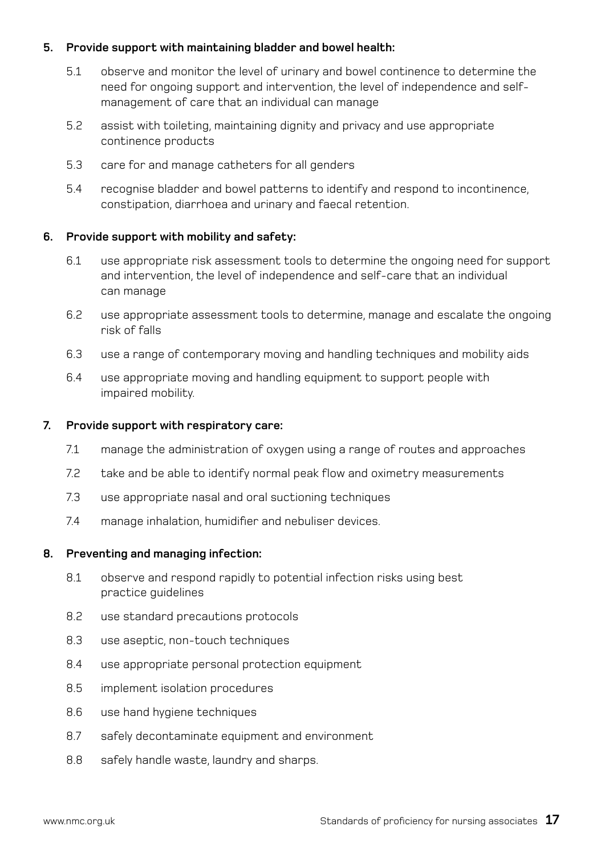### **5. Provide support with maintaining bladder and bowel health:**

- 5.1 observe and monitor the level of urinary and bowel continence to determine the need for ongoing support and intervention, the level of independence and selfmanagement of care that an individual can manage
- 5.2 assist with toileting, maintaining dignity and privacy and use appropriate continence products
- 5.3 care for and manage catheters for all genders
- 5.4 recognise bladder and bowel patterns to identify and respond to incontinence, constipation, diarrhoea and urinary and faecal retention.

#### **6. Provide support with mobility and safety:**

- 6.1 use appropriate risk assessment tools to determine the ongoing need for support and intervention, the level of independence and self-care that an individual can manage
- 6.2 use appropriate assessment tools to determine, manage and escalate the ongoing risk of falls
- 6.3 use a range of contemporary moving and handling techniques and mobility aids
- 6.4 use appropriate moving and handling equipment to support people with impaired mobility.

#### **7. Provide support with respiratory care:**

- 7.1 manage the administration of oxygen using a range of routes and approaches
- 7.2 take and be able to identify normal peak flow and oximetry measurements
- 7.3 use appropriate nasal and oral suctioning techniques
- 7.4 manage inhalation, humidifier and nebuliser devices.

#### **8. Preventing and managing infection:**

- 8.1 observe and respond rapidly to potential infection risks using best practice guidelines
- 8.2 use standard precautions protocols
- 8.3 use aseptic, non-touch techniques
- 8.4 use appropriate personal protection equipment
- 8.5 implement isolation procedures
- 8.6 use hand hygiene techniques
- 8.7 safely decontaminate equipment and environment
- 8.8 safely handle waste, laundry and sharps.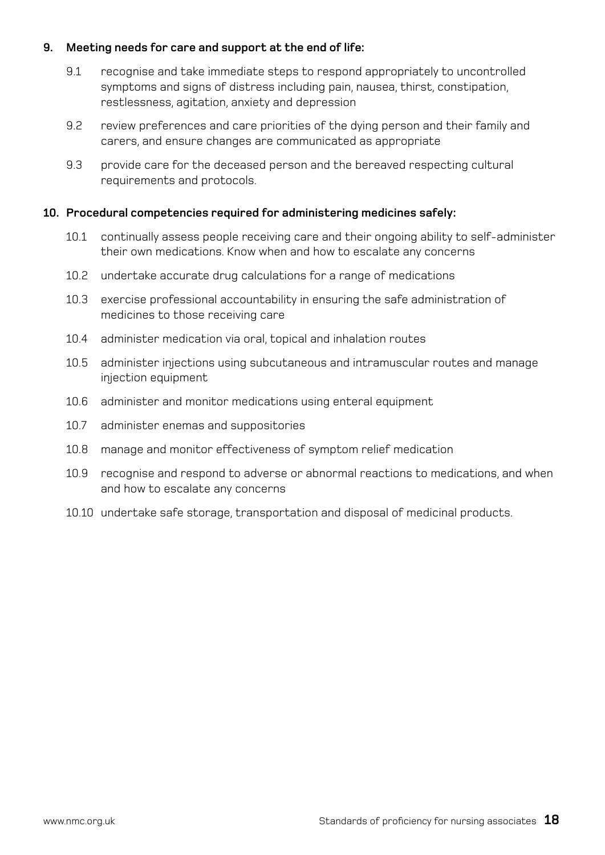### **9. Meeting needs for care and support at the end of life:**

- 9.1 recognise and take immediate steps to respond appropriately to uncontrolled symptoms and signs of distress including pain, nausea, thirst, constipation, restlessness, agitation, anxiety and depression
- 9.2 review preferences and care priorities of the dying person and their family and carers, and ensure changes are communicated as appropriate
- 9.3 provide care for the deceased person and the bereaved respecting cultural requirements and protocols.

#### **10. Procedural competencies required for administering medicines safely:**

- 10.1 continually assess people receiving care and their ongoing ability to self-administer their own medications. Know when and how to escalate any concerns
- 10.2 undertake accurate drug calculations for a range of medications
- 10.3 exercise professional accountability in ensuring the safe administration of medicines to those receiving care
- 10.4 administer medication via oral, topical and inhalation routes
- 10.5 administer injections using subcutaneous and intramuscular routes and manage injection equipment
- 10.6 administer and monitor medications using enteral equipment
- 10.7 administer enemas and suppositories
- 10.8 manage and monitor effectiveness of symptom relief medication
- 10.9 recognise and respond to adverse or abnormal reactions to medications, and when and how to escalate any concerns
- 10.10 undertake safe storage, transportation and disposal of medicinal products.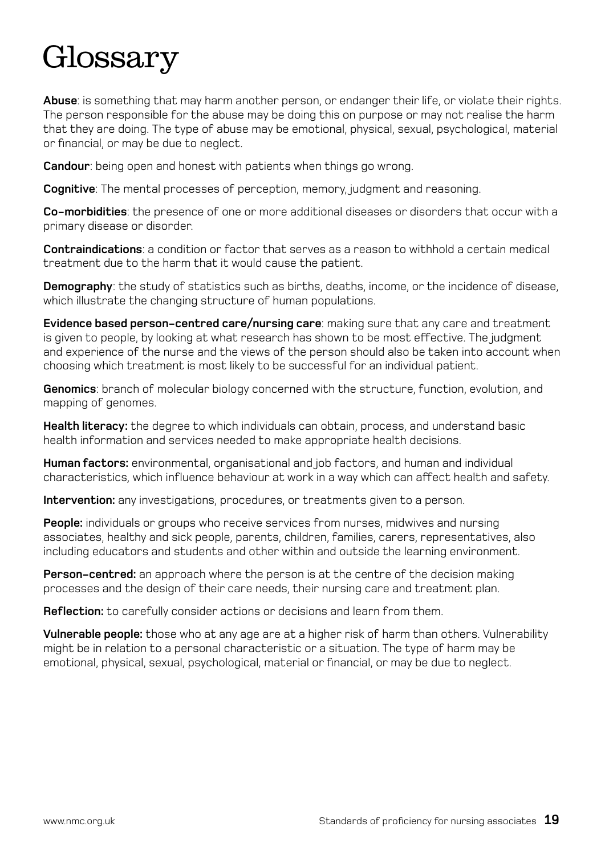# Glossary

**Abuse**: is something that may harm another person, or endanger their life, or violate their rights. The person responsible for the abuse may be doing this on purpose or may not realise the harm that they are doing. The type of abuse may be emotional, physical, sexual, psychological, material or financial, or may be due to neglect.

**Candour**: being open and honest with patients when things go wrong.

**Cognitive**: The mental processes of perception, memory, judgment and reasoning.

**Co-morbidities**: the presence of one or more additional diseases or disorders that occur with a primary disease or disorder.

**Contraindications**: a condition or factor that serves as a reason to withhold a certain medical treatment due to the harm that it would cause the patient.

**Demography**: the study of statistics such as births, deaths, income, or the incidence of disease, which illustrate the changing structure of human populations.

**Evidence based person-centred care/nursing care**: making sure that any care and treatment is given to people, by looking at what research has shown to be most effective. The judgment and experience of the nurse and the views of the person should also be taken into account when choosing which treatment is most likely to be successful for an individual patient.

**Genomics**: branch of molecular biology concerned with the structure, function, evolution, and mapping of genomes.

**Health literacy:** the degree to which individuals can obtain, process, and understand basic health information and services needed to make appropriate health decisions.

**Human factors:** environmental, organisational and job factors, and human and individual characteristics, which influence behaviour at work in a way which can affect health and safety.

**Intervention:** any investigations, procedures, or treatments given to a person.

**People:** individuals or groups who receive services from nurses, midwives and nursing associates, healthy and sick people, parents, children, families, carers, representatives, also including educators and students and other within and outside the learning environment.

**Person-centred:** an approach where the person is at the centre of the decision making processes and the design of their care needs, their nursing care and treatment plan.

**Reflection:** to carefully consider actions or decisions and learn from them.

**Vulnerable people:** those who at any age are at a higher risk of harm than others. Vulnerability might be in relation to a personal characteristic or a situation. The type of harm may be emotional, physical, sexual, psychological, material or financial, or may be due to neglect.